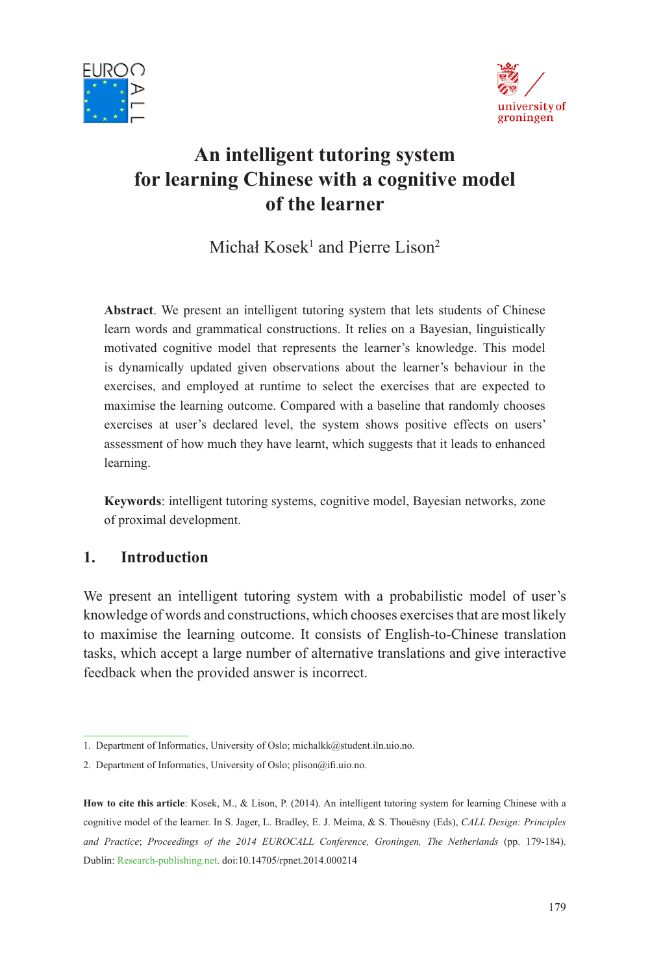



# **An intelligent tutoring system for learning Chinese with a cognitive model of the learner**

Michał Kosek<sup>1</sup> and Pierre Lison<sup>2</sup>

**Abstract**. We present an intelligent tutoring system that lets students of Chinese learn words and grammatical constructions. It relies on a Bayesian, linguistically motivated cognitive model that represents the learner's knowledge. This model is dynamically updated given observations about the learner's behaviour in the exercises, and employed at runtime to select the exercises that are expected to maximise the learning outcome. Compared with a baseline that randomly chooses exercises at user's declared level, the system shows positive effects on users' assessment of how much they have learnt, which suggests that it leads to enhanced learning.

**Keywords**: intelligent tutoring systems, cognitive model, Bayesian networks, zone of proximal development.

## **1. Introduction**

We present an intelligent tutoring system with a probabilistic model of user's knowledge of words and constructions, which chooses exercises that are most likely to maximise the learning outcome. It consists of English-to-Chinese translation tasks, which accept a large number of alternative translations and give interactive feedback when the provided answer is incorrect.

<sup>1.</sup> Department of Informatics, University of Oslo; michalkk@student.iln.uio.no.

<sup>2.</sup> Department of Informatics, University of Oslo; plison@ifi.uio.no.

**How to cite this article**: Kosek, M., & Lison, P. (2014). An intelligent tutoring system for learning Chinese with a cognitive model of the learner. In S. Jager, L. Bradley, E. J. Meima, & S. Thouësny (Eds), *CALL Design: Principles and Practice*; *Proceedings of the 2014 EUROCALL Conference, Groningen, The Netherlands* (pp. 179-184). Dublin: Research-publishing.net. doi:10.14705/rpnet.2014.000214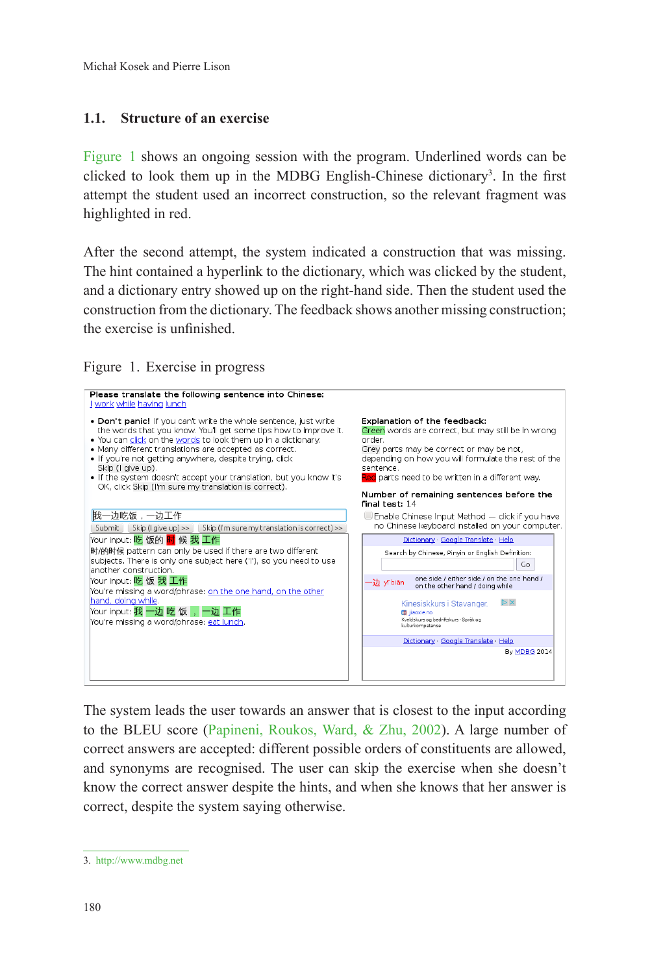#### **1.1. Structure of an exercise**

Figure 1 shows an ongoing session with the program. Underlined words can be clicked to look them up in the MDBG English-Chinese dictionary<sup>3</sup>. In the first attempt the student used an incorrect construction, so the relevant fragment was highlighted in red.

After the second attempt, the system indicated a construction that was missing. The hint contained a hyperlink to the dictionary, which was clicked by the student, and a dictionary entry showed up on the right-hand side. Then the student used the construction from the dictionary. The feedback shows another missing construction; the exercise is unfinished.

Figure 1. Exercise in progress



The system leads the user towards an answer that is closest to the input according to the BLEU score (Papineni, Roukos, Ward, & Zhu, 2002). A large number of correct answers are accepted: different possible orders of constituents are allowed, and synonyms are recognised. The user can skip the exercise when she doesn't know the correct answer despite the hints, and when she knows that her answer is correct, despite the system saying otherwise.

<sup>3.</sup> http://www.mdbg.net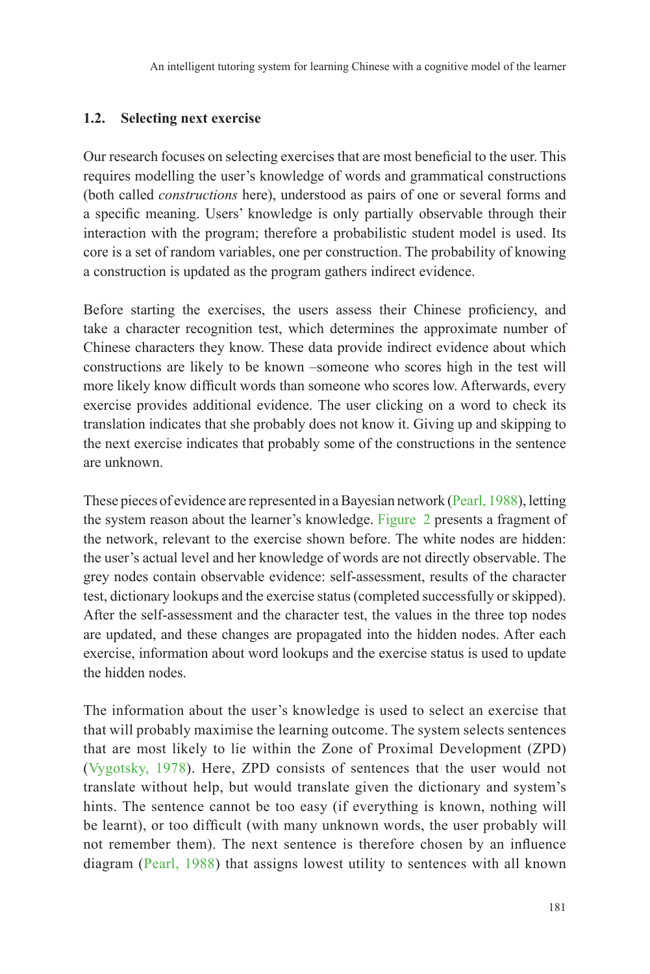#### **1.2. Selecting next exercise**

Our research focuses on selecting exercises that are most beneficial to the user. This requires modelling the user's knowledge of words and grammatical constructions (both called *constructions* here), understood as pairs of one or several forms and a specific meaning. Users' knowledge is only partially observable through their interaction with the program; therefore a probabilistic student model is used. Its core is a set of random variables, one per construction. The probability of knowing a construction is updated as the program gathers indirect evidence.

Before starting the exercises, the users assess their Chinese proficiency, and take a character recognition test, which determines the approximate number of Chinese characters they know. These data provide indirect evidence about which constructions are likely to be known –someone who scores high in the test will more likely know difficult words than someone who scores low. Afterwards, every exercise provides additional evidence. The user clicking on a word to check its translation indicates that she probably does not know it. Giving up and skipping to the next exercise indicates that probably some of the constructions in the sentence are unknown.

These pieces of evidence are represented in a Bayesian network (Pearl, 1988), letting the system reason about the learner's knowledge. Figure 2 presents a fragment of the network, relevant to the exercise shown before. The white nodes are hidden: the user's actual level and her knowledge of words are not directly observable. The grey nodes contain observable evidence: self-assessment, results of the character test, dictionary lookups and the exercise status (completed successfully or skipped). After the self-assessment and the character test, the values in the three top nodes are updated, and these changes are propagated into the hidden nodes. After each exercise, information about word lookups and the exercise status is used to update the hidden nodes.

The information about the user's knowledge is used to select an exercise that that will probably maximise the learning outcome. The system selects sentences that are most likely to lie within the Zone of Proximal Development (ZPD) (Vygotsky, 1978). Here, ZPD consists of sentences that the user would not translate without help, but would translate given the dictionary and system's hints. The sentence cannot be too easy (if everything is known, nothing will be learnt), or too difficult (with many unknown words, the user probably will not remember them). The next sentence is therefore chosen by an influence diagram (Pearl, 1988) that assigns lowest utility to sentences with all known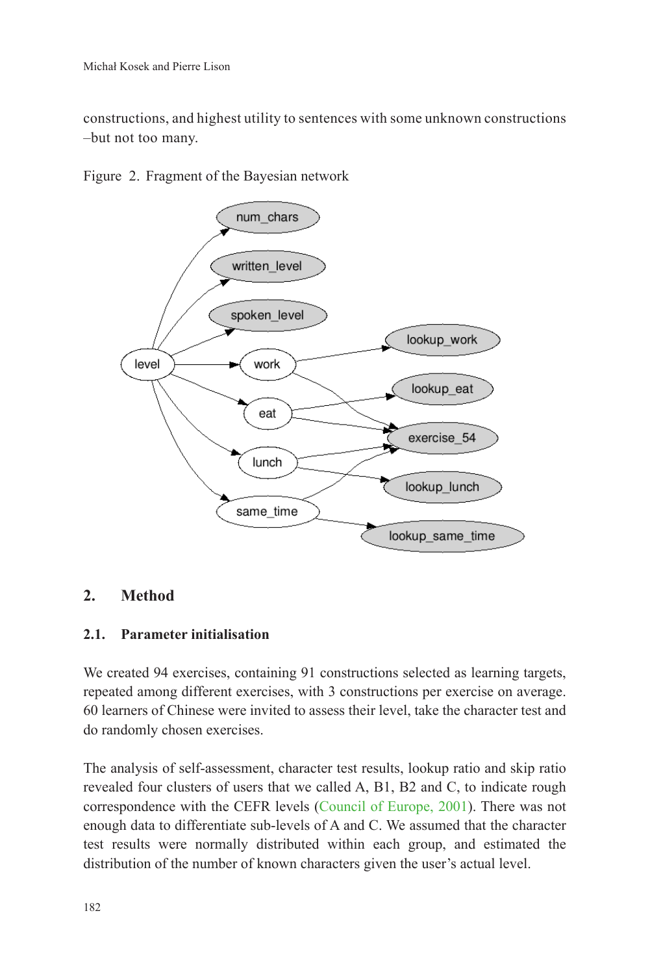constructions, and highest utility to sentences with some unknown constructions –but not too many.



Figure 2. Fragment of the Bayesian network

## **2. Method**

#### **2.1. Parameter initialisation**

We created 94 exercises, containing 91 constructions selected as learning targets, repeated among different exercises, with 3 constructions per exercise on average. 60 learners of Chinese were invited to assess their level, take the character test and do randomly chosen exercises.

The analysis of self-assessment, character test results, lookup ratio and skip ratio revealed four clusters of users that we called A, B1, B2 and C, to indicate rough correspondence with the CEFR levels (Council of Europe, 2001). There was not enough data to differentiate sub-levels of A and C. We assumed that the character test results were normally distributed within each group, and estimated the distribution of the number of known characters given the user's actual level.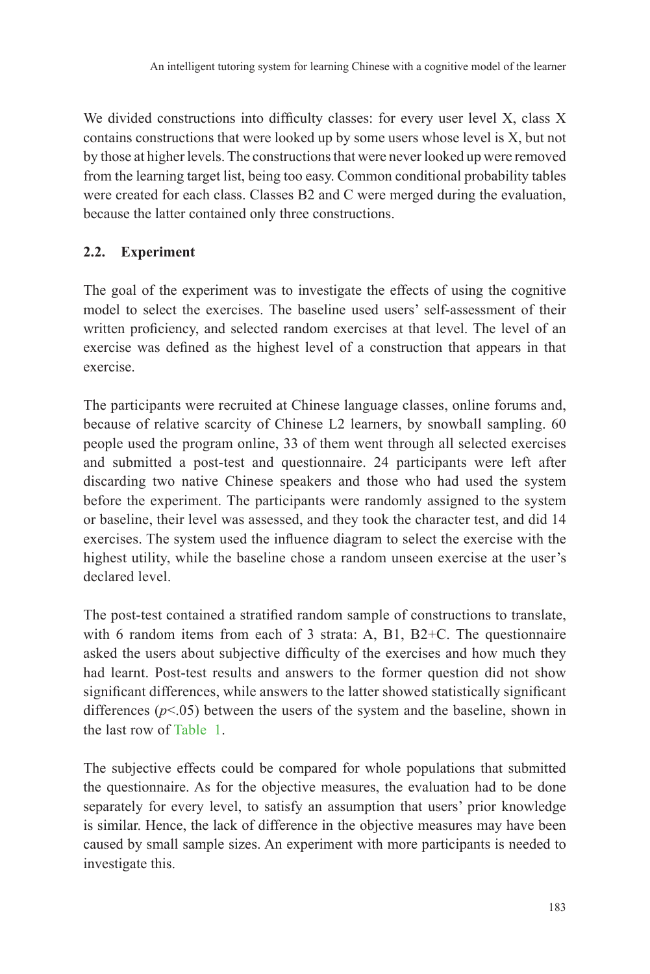We divided constructions into difficulty classes: for every user level X, class X contains constructions that were looked up by some users whose level is X, but not by those at higher levels. The constructions that were never looked up were removed from the learning target list, being too easy. Common conditional probability tables were created for each class. Classes B2 and C were merged during the evaluation, because the latter contained only three constructions.

# **2.2. Experiment**

The goal of the experiment was to investigate the effects of using the cognitive model to select the exercises. The baseline used users' self-assessment of their written proficiency, and selected random exercises at that level. The level of an exercise was defined as the highest level of a construction that appears in that exercise.

The participants were recruited at Chinese language classes, online forums and, because of relative scarcity of Chinese L2 learners, by snowball sampling. 60 people used the program online, 33 of them went through all selected exercises and submitted a post-test and questionnaire. 24 participants were left after discarding two native Chinese speakers and those who had used the system before the experiment. The participants were randomly assigned to the system or baseline, their level was assessed, and they took the character test, and did 14 exercises. The system used the influence diagram to select the exercise with the highest utility, while the baseline chose a random unseen exercise at the user's declared level.

The post-test contained a stratified random sample of constructions to translate, with 6 random items from each of 3 strata: A, B1, B2+C. The questionnaire asked the users about subjective difficulty of the exercises and how much they had learnt. Post-test results and answers to the former question did not show significant differences, while answers to the latter showed statistically significant differences  $(p<.05)$  between the users of the system and the baseline, shown in the last row of Table 1.

The subjective effects could be compared for whole populations that submitted the questionnaire. As for the objective measures, the evaluation had to be done separately for every level, to satisfy an assumption that users' prior knowledge is similar. Hence, the lack of difference in the objective measures may have been caused by small sample sizes. An experiment with more participants is needed to investigate this.